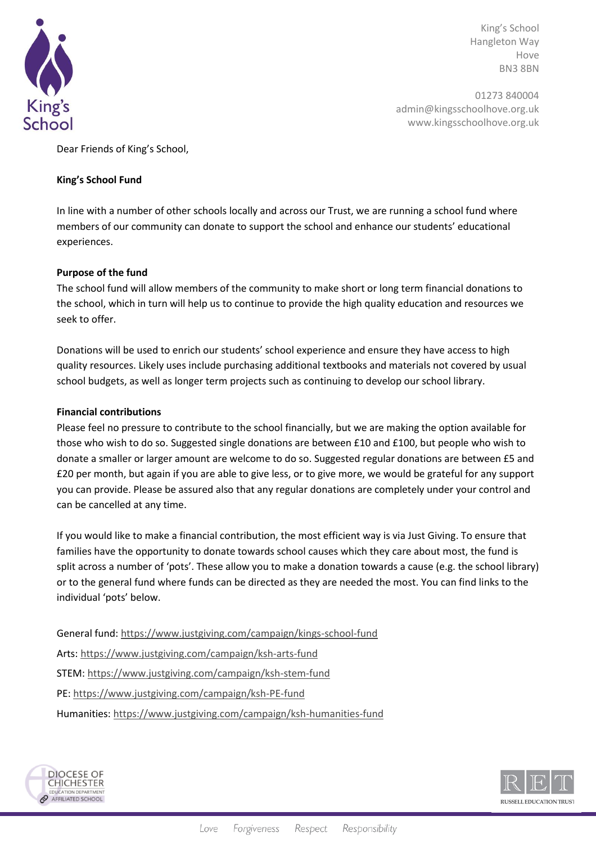

King's School Hangleton Way Hove BN3 8BN

01273 840004 admin@kingsschoolhove.org.uk www.kingsschoolhove.org.uk

Dear Friends of King's School,

## **King's School Fund**

In line with a number of other schools locally and across our Trust, we are running a school fund where members of our community can donate to support the school and enhance our students' educational experiences.

## **Purpose of the fund**

The school fund will allow members of the community to make short or long term financial donations to the school, which in turn will help us to continue to provide the high quality education and resources we seek to offer.

Donations will be used to enrich our students' school experience and ensure they have access to high quality resources. Likely uses include purchasing additional textbooks and materials not covered by usual school budgets, as well as longer term projects such as continuing to develop our school library.

## **Financial contributions**

Please feel no pressure to contribute to the school financially, but we are making the option available for those who wish to do so. Suggested single donations are between £10 and £100, but people who wish to donate a smaller or larger amount are welcome to do so. Suggested regular donations are between £5 and £20 per month, but again if you are able to give less, or to give more, we would be grateful for any support you can provide. Please be assured also that any regular donations are completely under your control and can be cancelled at any time.

If you would like to make a financial contribution, the most efficient way is via Just Giving. To ensure that families have the opportunity to donate towards school causes which they care about most, the fund is split across a number of 'pots'. These allow you to make a donation towards a cause (e.g. the school library) or to the general fund where funds can be directed as they are needed the most. You can find links to the individual 'pots' below.

General fund[: https://www.justgiving.com/campaign/kings-school-fund](https://www.justgiving.com/campaign/kings-school-fund) Arts:<https://www.justgiving.com/campaign/ksh-arts-fund> STEM:<https://www.justgiving.com/campaign/ksh-stem-fund> PE:<https://www.justgiving.com/campaign/ksh-PE-fund> Humanities:<https://www.justgiving.com/campaign/ksh-humanities-fund>